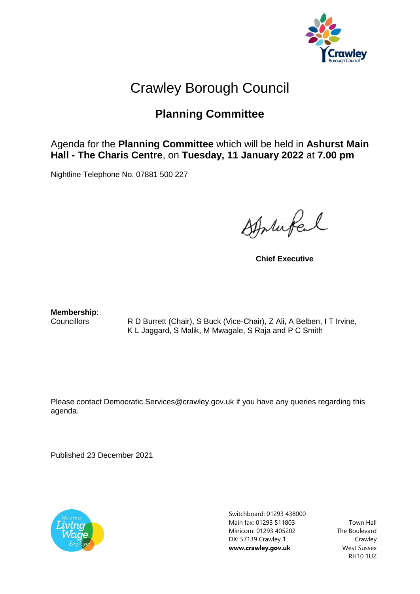

## Crawley Borough Council

## **Planning Committee**

## Agenda for the **Planning Committee** which will be held in **Ashurst Main Hall - The Charis Centre**, on **Tuesday, 11 January 2022** at **7.00 pm**

Nightline Telephone No. 07881 500 227

Stortufel

**Chief Executive**

**Membership**:

Councillors R D Burrett (Chair), S Buck (Vice-Chair), Z Ali, A Belben, I T Irvine, K L Jaggard, S Malik, M Mwagale, S Raja and P C Smith

Please contact Democratic.Services@crawley.gov.uk if you have any queries regarding this agenda.

Published 23 December 2021



Switchboard: 01293 438000 Main fax: 01293 511803 Minicom: 01293 405202 DX: 57139 Crawley 1 **www.crawley.gov.uk**

Town Hall The Boulevard Crawley West Sussex RH10 1UZ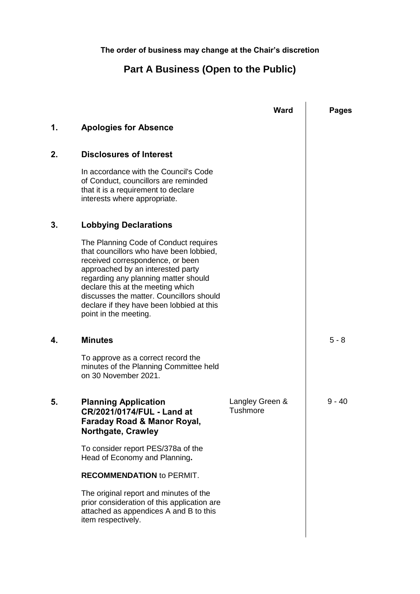**The order of business may change at the Chair's discretion**

## **Part A Business (Open to the Public)**

|    |                                                                                                                                                                                                                                                                                                                                                          | <b>Ward</b>                 | <b>Pages</b> |
|----|----------------------------------------------------------------------------------------------------------------------------------------------------------------------------------------------------------------------------------------------------------------------------------------------------------------------------------------------------------|-----------------------------|--------------|
| 1. | <b>Apologies for Absence</b>                                                                                                                                                                                                                                                                                                                             |                             |              |
| 2. | <b>Disclosures of Interest</b>                                                                                                                                                                                                                                                                                                                           |                             |              |
|    | In accordance with the Council's Code<br>of Conduct, councillors are reminded<br>that it is a requirement to declare<br>interests where appropriate.                                                                                                                                                                                                     |                             |              |
| 3. | <b>Lobbying Declarations</b>                                                                                                                                                                                                                                                                                                                             |                             |              |
|    | The Planning Code of Conduct requires<br>that councillors who have been lobbied,<br>received correspondence, or been<br>approached by an interested party<br>regarding any planning matter should<br>declare this at the meeting which<br>discusses the matter. Councillors should<br>declare if they have been lobbied at this<br>point in the meeting. |                             |              |
| 4. | <b>Minutes</b>                                                                                                                                                                                                                                                                                                                                           |                             | $5 - 8$      |
|    | To approve as a correct record the<br>minutes of the Planning Committee held<br>on 30 November 2021.                                                                                                                                                                                                                                                     |                             |              |
| 5. | <b>Planning Application</b><br>CR/2021/0174/FUL - Land at<br><b>Faraday Road &amp; Manor Royal,</b><br><b>Northgate, Crawley</b>                                                                                                                                                                                                                         | Langley Green &<br>Tushmore | 9 - 40       |
|    | To consider report PES/378a of the<br>Head of Economy and Planning.                                                                                                                                                                                                                                                                                      |                             |              |
|    | <b>RECOMMENDATION to PERMIT.</b>                                                                                                                                                                                                                                                                                                                         |                             |              |
|    | The original report and minutes of the<br>prior consideration of this application are<br>attached as appendices A and B to this<br>item respectively.                                                                                                                                                                                                    |                             |              |